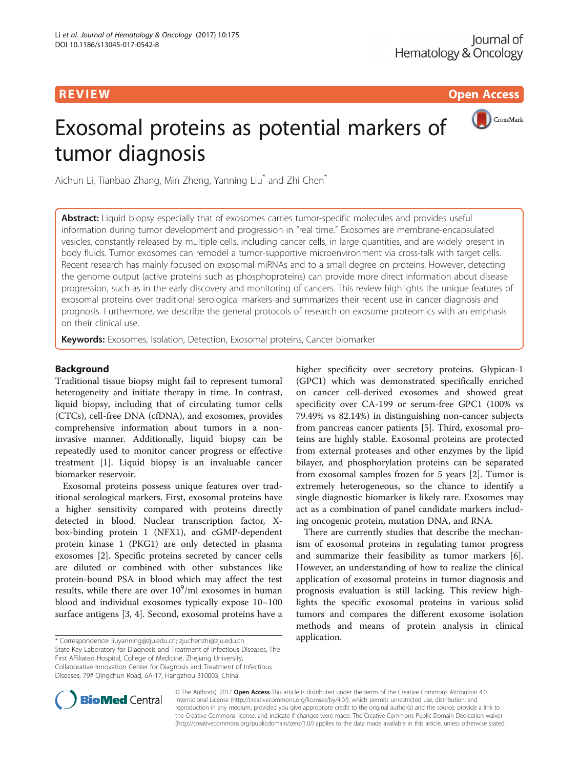R EVI EW Open Access and the contract of the contract of the contract of the contract of the contract of the c



# Exosomal proteins as potential markers of tumor diagnosis

Aichun Li, Tianbao Zhang, Min Zheng, Yanning Liu<sup>\*</sup> and Zhi Chen<sup>\*</sup>

Abstract: Liquid biopsy especially that of exosomes carries tumor-specific molecules and provides useful information during tumor development and progression in "real time." Exosomes are membrane-encapsulated vesicles, constantly released by multiple cells, including cancer cells, in large quantities, and are widely present in body fluids. Tumor exosomes can remodel a tumor-supportive microenvironment via cross-talk with target cells. Recent research has mainly focused on exosomal miRNAs and to a small degree on proteins. However, detecting the genome output (active proteins such as phosphoproteins) can provide more direct information about disease progression, such as in the early discovery and monitoring of cancers. This review highlights the unique features of exosomal proteins over traditional serological markers and summarizes their recent use in cancer diagnosis and prognosis. Furthermore, we describe the general protocols of research on exosome proteomics with an emphasis on their clinical use.

Keywords: Exosomes, Isolation, Detection, Exosomal proteins, Cancer biomarker

# Background

Traditional tissue biopsy might fail to represent tumoral heterogeneity and initiate therapy in time. In contrast, liquid biopsy, including that of circulating tumor cells (CTCs), cell-free DNA (cfDNA), and exosomes, provides comprehensive information about tumors in a noninvasive manner. Additionally, liquid biopsy can be repeatedly used to monitor cancer progress or effective treatment [\[1](#page-6-0)]. Liquid biopsy is an invaluable cancer biomarker reservoir.

Exosomal proteins possess unique features over traditional serological markers. First, exosomal proteins have a higher sensitivity compared with proteins directly detected in blood. Nuclear transcription factor, Xbox-binding protein 1 (NFX1), and cGMP-dependent protein kinase 1 (PKG1) are only detected in plasma exosomes [[2](#page-6-0)]. Specific proteins secreted by cancer cells are diluted or combined with other substances like protein-bound PSA in blood which may affect the test results, while there are over  $10^9$ /ml exosomes in human blood and individual exosomes typically expose 10–100 surface antigens [[3, 4\]](#page-6-0). Second, exosomal proteins have a

higher specificity over secretory proteins. Glypican-1 (GPC1) which was demonstrated specifically enriched on cancer cell-derived exosomes and showed great specificity over CA-199 or serum-free GPC1 (100% vs 79.49% vs 82.14%) in distinguishing non-cancer subjects from pancreas cancer patients [\[5](#page-6-0)]. Third, exosomal proteins are highly stable. Exosomal proteins are protected from external proteases and other enzymes by the lipid bilayer, and phosphorylation proteins can be separated from exosomal samples frozen for 5 years [\[2\]](#page-6-0). Tumor is extremely heterogeneous, so the chance to identify a single diagnostic biomarker is likely rare. Exosomes may act as a combination of panel candidate markers including oncogenic protein, mutation DNA, and RNA.

There are currently studies that describe the mechanism of exosomal proteins in regulating tumor progress and summarize their feasibility as tumor markers [\[6](#page-6-0)]. However, an understanding of how to realize the clinical application of exosomal proteins in tumor diagnosis and prognosis evaluation is still lacking. This review highlights the specific exosomal proteins in various solid tumors and compares the different exosome isolation methods and means of protein analysis in clinical

application. \* Correspondence: [liuyanning@zju.edu.cn;](mailto:liuyanning@zju.edu.cn) [zjuchenzhi@zju.edu.cn](mailto:zjuchenzhi@zju.edu.cn) State Key Laboratory for Diagnosis and Treatment of Infectious Diseases, The First Affiliated Hospital, College of Medicine, Zhejiang University, Collaborative Innovation Center for Diagnosis and Treatment of Infectious Diseases, 79# Qingchun Road, 6A-17, Hangzhou 310003, China



© The Author(s). 2017 **Open Access** This article is distributed under the terms of the Creative Commons Attribution 4.0 International License [\(http://creativecommons.org/licenses/by/4.0/](http://creativecommons.org/licenses/by/4.0/)), which permits unrestricted use, distribution, and reproduction in any medium, provided you give appropriate credit to the original author(s) and the source, provide a link to the Creative Commons license, and indicate if changes were made. The Creative Commons Public Domain Dedication waiver [\(http://creativecommons.org/publicdomain/zero/1.0/](http://creativecommons.org/publicdomain/zero/1.0/)) applies to the data made available in this article, unless otherwise stated.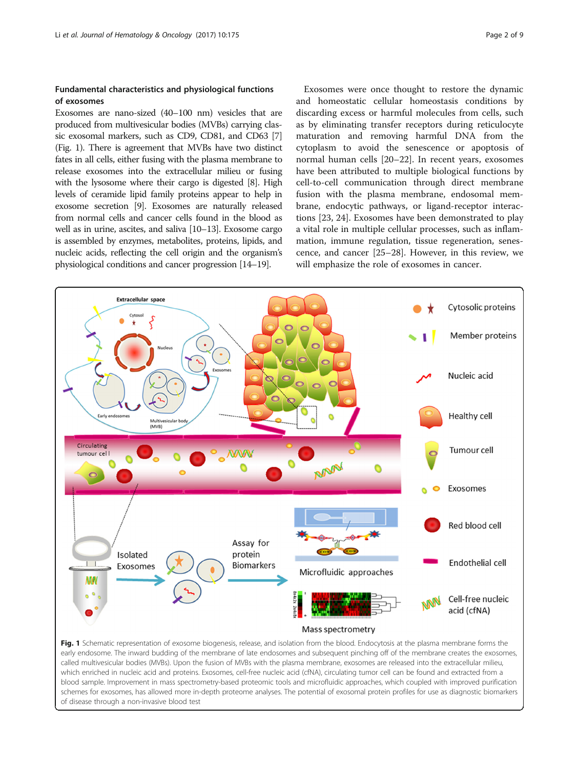# Fundamental characteristics and physiological functions of exosomes

Exosomes are nano-sized (40–100 nm) vesicles that are produced from multivesicular bodies (MVBs) carrying classic exosomal markers, such as CD9, CD81, and CD63 [[7](#page-6-0)] (Fig. 1). There is agreement that MVBs have two distinct fates in all cells, either fusing with the plasma membrane to release exosomes into the extracellular milieu or fusing with the lysosome where their cargo is digested [\[8](#page-6-0)]. High levels of ceramide lipid family proteins appear to help in exosome secretion [\[9\]](#page-6-0). Exosomes are naturally released from normal cells and cancer cells found in the blood as well as in urine, ascites, and saliva [[10](#page-6-0)–[13](#page-6-0)]. Exosome cargo is assembled by enzymes, metabolites, proteins, lipids, and nucleic acids, reflecting the cell origin and the organism's physiological conditions and cancer progression [\[14](#page-6-0)–[19\]](#page-6-0).

Exosomes were once thought to restore the dynamic and homeostatic cellular homeostasis conditions by discarding excess or harmful molecules from cells, such as by eliminating transfer receptors during reticulocyte maturation and removing harmful DNA from the cytoplasm to avoid the senescence or apoptosis of normal human cells [\[20](#page-6-0)–[22\]](#page-6-0). In recent years, exosomes have been attributed to multiple biological functions by cell-to-cell communication through direct membrane fusion with the plasma membrane, endosomal membrane, endocytic pathways, or ligand-receptor interactions [[23, 24\]](#page-6-0). Exosomes have been demonstrated to play a vital role in multiple cellular processes, such as inflammation, immune regulation, tissue regeneration, senescence, and cancer [[25](#page-6-0)–[28](#page-6-0)]. However, in this review, we will emphasize the role of exosomes in cancer.

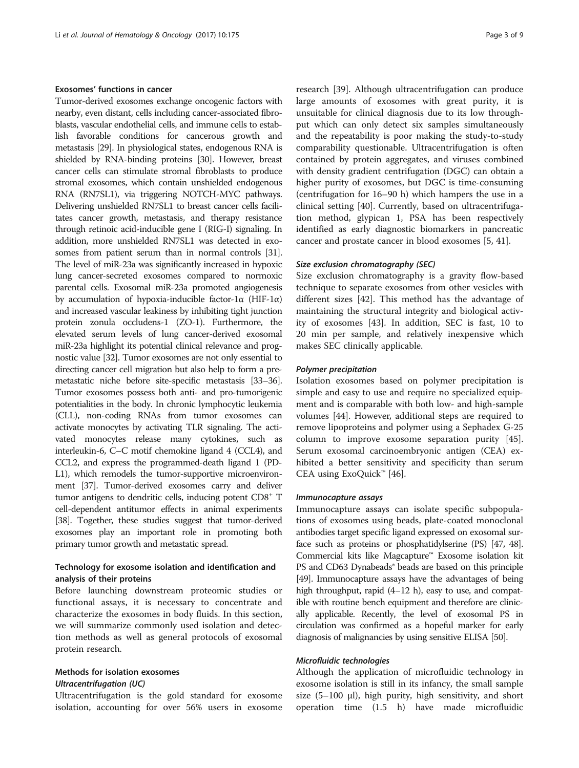# Exosomes' functions in cancer

Tumor-derived exosomes exchange oncogenic factors with nearby, even distant, cells including cancer-associated fibroblasts, vascular endothelial cells, and immune cells to establish favorable conditions for cancerous growth and metastasis [[29](#page-6-0)]. In physiological states, endogenous RNA is shielded by RNA-binding proteins [\[30](#page-6-0)]. However, breast cancer cells can stimulate stromal fibroblasts to produce stromal exosomes, which contain unshielded endogenous RNA (RN7SL1), via triggering NOTCH-MYC pathways. Delivering unshielded RN7SL1 to breast cancer cells facilitates cancer growth, metastasis, and therapy resistance through retinoic acid-inducible gene I (RIG-I) signaling. In addition, more unshielded RN7SL1 was detected in exosomes from patient serum than in normal controls [\[31](#page-6-0)]. The level of miR-23a was significantly increased in hypoxic lung cancer-secreted exosomes compared to normoxic parental cells. Exosomal miR-23a promoted angiogenesis by accumulation of hypoxia-inducible factor-1α (HIF-1α) and increased vascular leakiness by inhibiting tight junction protein zonula occludens-1 (ZO-1). Furthermore, the elevated serum levels of lung cancer-derived exosomal miR-23a highlight its potential clinical relevance and prognostic value [[32](#page-6-0)]. Tumor exosomes are not only essential to directing cancer cell migration but also help to form a premetastatic niche before site-specific metastasis [\[33](#page-6-0)–[36](#page-7-0)]. Tumor exosomes possess both anti- and pro-tumorigenic potentialities in the body. In chronic lymphocytic leukemia (CLL), non-coding RNAs from tumor exosomes can activate monocytes by activating TLR signaling. The activated monocytes release many cytokines, such as interleukin-6, C–C motif chemokine ligand 4 (CCL4), and CCL2, and express the programmed-death ligand 1 (PD-L1), which remodels the tumor-supportive microenvironment [\[37\]](#page-7-0). Tumor-derived exosomes carry and deliver tumor antigens to dendritic cells, inducing potent CD8<sup>+</sup> T cell-dependent antitumor effects in animal experiments [[38](#page-7-0)]. Together, these studies suggest that tumor-derived exosomes play an important role in promoting both primary tumor growth and metastatic spread.

# Technology for exosome isolation and identification and analysis of their proteins

Before launching downstream proteomic studies or functional assays, it is necessary to concentrate and characterize the exosomes in body fluids. In this section, we will summarize commonly used isolation and detection methods as well as general protocols of exosomal protein research.

# Methods for isolation exosomes Ultracentrifugation (UC)

Ultracentrifugation is the gold standard for exosome isolation, accounting for over 56% users in exosome

research [[39\]](#page-7-0). Although ultracentrifugation can produce large amounts of exosomes with great purity, it is unsuitable for clinical diagnosis due to its low throughput which can only detect six samples simultaneously and the repeatability is poor making the study-to-study comparability questionable. Ultracentrifugation is often contained by protein aggregates, and viruses combined with density gradient centrifugation (DGC) can obtain a higher purity of exosomes, but DGC is time-consuming (centrifugation for 16–90 h) which hampers the use in a clinical setting [[40\]](#page-7-0). Currently, based on ultracentrifugation method, glypican 1, PSA has been respectively identified as early diagnostic biomarkers in pancreatic cancer and prostate cancer in blood exosomes [[5](#page-6-0), [41](#page-7-0)].

# Size exclusion chromatography (SEC)

Size exclusion chromatography is a gravity flow-based technique to separate exosomes from other vesicles with different sizes [[42\]](#page-7-0). This method has the advantage of maintaining the structural integrity and biological activity of exosomes [\[43\]](#page-7-0). In addition, SEC is fast, 10 to 20 min per sample, and relatively inexpensive which makes SEC clinically applicable.

#### Polymer precipitation

Isolation exosomes based on polymer precipitation is simple and easy to use and require no specialized equipment and is comparable with both low- and high-sample volumes [[44](#page-7-0)]. However, additional steps are required to remove lipoproteins and polymer using a Sephadex G-25 column to improve exosome separation purity [\[45](#page-7-0)]. Serum exosomal carcinoembryonic antigen (CEA) exhibited a better sensitivity and specificity than serum CEA using ExoQuick™ [[46\]](#page-7-0).

### Immunocapture assays

Immunocapture assays can isolate specific subpopulations of exosomes using beads, plate-coated monoclonal antibodies target specific ligand expressed on exosomal surface such as proteins or phosphatidylserine (PS) [\[47, 48](#page-7-0)]. Commercial kits like Magcapture™ Exosome isolation kit PS and CD63 Dynabeads<sup>®</sup> beads are based on this principle [[49](#page-7-0)]. Immunocapture assays have the advantages of being high throughput, rapid  $(4-12 h)$ , easy to use, and compatible with routine bench equipment and therefore are clinically applicable. Recently, the level of exosomal PS in circulation was confirmed as a hopeful marker for early diagnosis of malignancies by using sensitive ELISA [\[50\]](#page-7-0).

#### Microfluidic technologies

Although the application of microfluidic technology in exosome isolation is still in its infancy, the small sample size  $(5-100 \mu l)$ , high purity, high sensitivity, and short operation time (1.5 h) have made microfluidic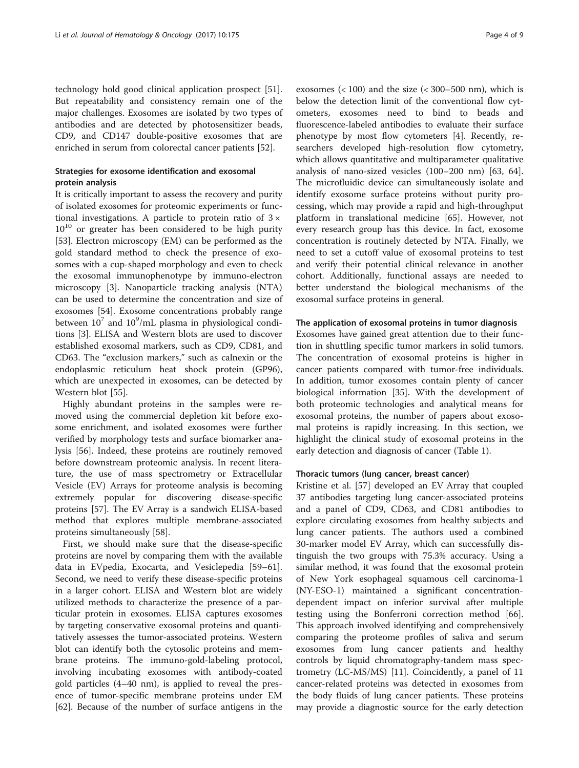technology hold good clinical application prospect [\[51](#page-7-0)]. But repeatability and consistency remain one of the major challenges. Exosomes are isolated by two types of antibodies and are detected by photosensitizer beads, CD9, and CD147 double-positive exosomes that are enriched in serum from colorectal cancer patients [[52\]](#page-7-0).

# Strategies for exosome identification and exosomal protein analysis

It is critically important to assess the recovery and purity of isolated exosomes for proteomic experiments or functional investigations. A particle to protein ratio of  $3 \times$  $10^{10}$  or greater has been considered to be high purity [[53\]](#page-7-0). Electron microscopy (EM) can be performed as the gold standard method to check the presence of exosomes with a cup-shaped morphology and even to check the exosomal immunophenotype by immuno-electron microscopy [[3](#page-6-0)]. Nanoparticle tracking analysis (NTA) can be used to determine the concentration and size of exosomes [[54](#page-7-0)]. Exosome concentrations probably range between  $10^7$  and  $10^9$ /mL plasma in physiological conditions [\[3](#page-6-0)]. ELISA and Western blots are used to discover established exosomal markers, such as CD9, CD81, and CD63. The "exclusion markers," such as calnexin or the endoplasmic reticulum heat shock protein (GP96), which are unexpected in exosomes, can be detected by Western blot [\[55](#page-7-0)].

Highly abundant proteins in the samples were removed using the commercial depletion kit before exosome enrichment, and isolated exosomes were further verified by morphology tests and surface biomarker analysis [\[56\]](#page-7-0). Indeed, these proteins are routinely removed before downstream proteomic analysis. In recent literature, the use of mass spectrometry or Extracellular Vesicle (EV) Arrays for proteome analysis is becoming extremely popular for discovering disease-specific proteins [[57\]](#page-7-0). The EV Array is a sandwich ELISA-based method that explores multiple membrane-associated proteins simultaneously [\[58\]](#page-7-0).

First, we should make sure that the disease-specific proteins are novel by comparing them with the available data in EVpedia, Exocarta, and Vesiclepedia [[59](#page-7-0)–[61](#page-7-0)]. Second, we need to verify these disease-specific proteins in a larger cohort. ELISA and Western blot are widely utilized methods to characterize the presence of a particular protein in exosomes. ELISA captures exosomes by targeting conservative exosomal proteins and quantitatively assesses the tumor-associated proteins. Western blot can identify both the cytosolic proteins and membrane proteins. The immuno-gold-labeling protocol, involving incubating exosomes with antibody-coated gold particles (4–40 nm), is applied to reveal the presence of tumor-specific membrane proteins under EM [[62\]](#page-7-0). Because of the number of surface antigens in the

exosomes  $( $100$ )$  and the size  $( $300-500$  nm), which is$ below the detection limit of the conventional flow cytometers, exosomes need to bind to beads and fluorescence-labeled antibodies to evaluate their surface phenotype by most flow cytometers [[4\]](#page-6-0). Recently, researchers developed high-resolution flow cytometry, which allows quantitative and multiparameter qualitative analysis of nano-sized vesicles (100–200 nm) [[63](#page-7-0), [64](#page-7-0)]. The microfluidic device can simultaneously isolate and identify exosome surface proteins without purity processing, which may provide a rapid and high-throughput platform in translational medicine [[65\]](#page-7-0). However, not every research group has this device. In fact, exosome concentration is routinely detected by NTA. Finally, we need to set a cutoff value of exosomal proteins to test and verify their potential clinical relevance in another cohort. Additionally, functional assays are needed to better understand the biological mechanisms of the exosomal surface proteins in general.

# The application of exosomal proteins in tumor diagnosis

Exosomes have gained great attention due to their function in shuttling specific tumor markers in solid tumors. The concentration of exosomal proteins is higher in cancer patients compared with tumor-free individuals. In addition, tumor exosomes contain plenty of cancer biological information [[35](#page-6-0)]. With the development of both proteomic technologies and analytical means for exosomal proteins, the number of papers about exosomal proteins is rapidly increasing. In this section, we highlight the clinical study of exosomal proteins in the early detection and diagnosis of cancer (Table [1](#page-4-0)).

#### Thoracic tumors (lung cancer, breast cancer)

Kristine et al. [\[57](#page-7-0)] developed an EV Array that coupled 37 antibodies targeting lung cancer-associated proteins and a panel of CD9, CD63, and CD81 antibodies to explore circulating exosomes from healthy subjects and lung cancer patients. The authors used a combined 30-marker model EV Array, which can successfully distinguish the two groups with 75.3% accuracy. Using a similar method, it was found that the exosomal protein of New York esophageal squamous cell carcinoma-1 (NY-ESO-1) maintained a significant concentrationdependent impact on inferior survival after multiple testing using the Bonferroni correction method [\[66](#page-7-0)]. This approach involved identifying and comprehensively comparing the proteome profiles of saliva and serum exosomes from lung cancer patients and healthy controls by liquid chromatography-tandem mass spectrometry (LC-MS/MS) [\[11](#page-6-0)]. Coincidently, a panel of 11 cancer-related proteins was detected in exosomes from the body fluids of lung cancer patients. These proteins may provide a diagnostic source for the early detection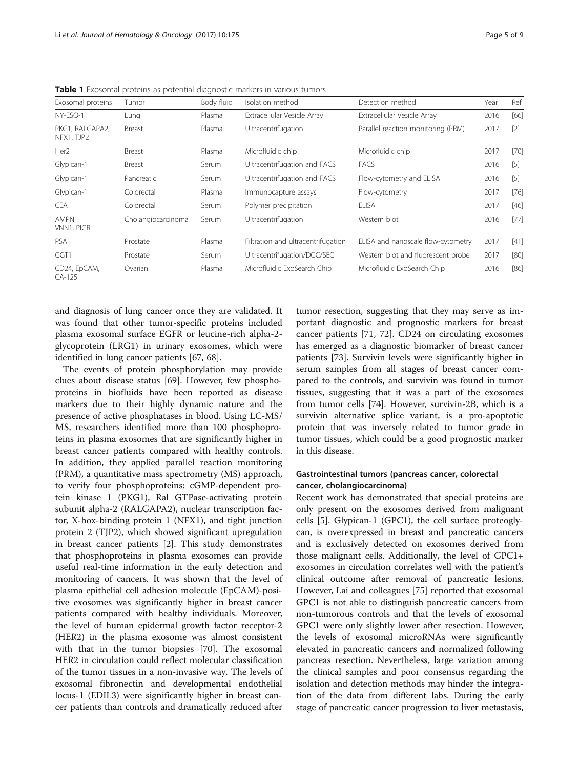| Exosomal proteins             | Tumor              | Body fluid | Isolation method                   | Detection method                   | Year | Ref    |
|-------------------------------|--------------------|------------|------------------------------------|------------------------------------|------|--------|
| NY-ESO-1                      | Lung               | Plasma     | Extracellular Vesicle Array        | Extracellular Vesicle Array        | 2016 | [66]   |
| PKG1, RALGAPA2,<br>NFX1, TJP2 | Breast             | Plasma     | Ultracentrifugation                | Parallel reaction monitoring (PRM) | 2017 | $[2]$  |
| Her <sub>2</sub>              | Breast             | Plasma     | Microfluidic chip                  | Microfluidic chip                  | 2017 | $[70]$ |
| Glypican-1                    | Breast             | Serum      | Ultracentrifugation and FACS       | <b>FACS</b>                        | 2016 | $[5]$  |
| Glypican-1                    | Pancreatic         | Serum      | Ultracentrifugation and FACS       | Flow-cytometry and ELISA           | 2016 | $[5]$  |
| Glypican-1                    | Colorectal         | Plasma     | Immunocapture assays               | Flow-cytometry                     | 2017 | $[76]$ |
| <b>CEA</b>                    | Colorectal         | Serum      | Polymer precipitation              | <b>ELISA</b>                       | 2017 | $[46]$ |
| AMPN<br>VNN1, PIGR            | Cholangiocarcinoma | Serum      | Ultracentrifugation                | Western blot                       | 2016 | $[77]$ |
| <b>PSA</b>                    | Prostate           | Plasma     | Filtration and ultracentrifugation | ELISA and nanoscale flow-cytometry | 2017 | $[41]$ |
| GGT1                          | Prostate           | Serum      | Ultracentrifugation/DGC/SEC        | Western blot and fluorescent probe | 2017 | [80]   |
| CD24, EpCAM,<br>$CA-125$      | Ovarian            | Plasma     | Microfluidic ExoSearch Chip        | Microfluidic ExoSearch Chip        | 2016 | [86]   |

<span id="page-4-0"></span>Table 1 Exosomal proteins as potential diagnostic markers in various tumors

and diagnosis of lung cancer once they are validated. It was found that other tumor-specific proteins included plasma exosomal surface EGFR or leucine-rich alpha-2 glycoprotein (LRG1) in urinary exosomes, which were identified in lung cancer patients [[67, 68\]](#page-7-0).

The events of protein phosphorylation may provide clues about disease status [\[69](#page-7-0)]. However, few phosphoproteins in biofluids have been reported as disease markers due to their highly dynamic nature and the presence of active phosphatases in blood. Using LC-MS/ MS, researchers identified more than 100 phosphoproteins in plasma exosomes that are significantly higher in breast cancer patients compared with healthy controls. In addition, they applied parallel reaction monitoring (PRM), a quantitative mass spectrometry (MS) approach, to verify four phosphoproteins: cGMP-dependent protein kinase 1 (PKG1), Ral GTPase-activating protein subunit alpha-2 (RALGAPA2), nuclear transcription factor, X-box-binding protein 1 (NFX1), and tight junction protein 2 (TJP2), which showed significant upregulation in breast cancer patients [[2\]](#page-6-0). This study demonstrates that phosphoproteins in plasma exosomes can provide useful real-time information in the early detection and monitoring of cancers. It was shown that the level of plasma epithelial cell adhesion molecule (EpCAM)-positive exosomes was significantly higher in breast cancer patients compared with healthy individuals. Moreover, the level of human epidermal growth factor receptor-2 (HER2) in the plasma exosome was almost consistent with that in the tumor biopsies [[70\]](#page-7-0). The exosomal HER2 in circulation could reflect molecular classification of the tumor tissues in a non-invasive way. The levels of exosomal fibronectin and developmental endothelial locus-1 (EDIL3) were significantly higher in breast cancer patients than controls and dramatically reduced after

tumor resection, suggesting that they may serve as important diagnostic and prognostic markers for breast cancer patients [[71, 72](#page-7-0)]. CD24 on circulating exosomes has emerged as a diagnostic biomarker of breast cancer patients [[73\]](#page-7-0). Survivin levels were significantly higher in serum samples from all stages of breast cancer compared to the controls, and survivin was found in tumor tissues, suggesting that it was a part of the exosomes from tumor cells [\[74\]](#page-7-0). However, survivin-2B, which is a survivin alternative splice variant, is a pro-apoptotic protein that was inversely related to tumor grade in tumor tissues, which could be a good prognostic marker in this disease.

# Gastrointestinal tumors (pancreas cancer, colorectal cancer, cholangiocarcinoma)

Recent work has demonstrated that special proteins are only present on the exosomes derived from malignant cells [\[5](#page-6-0)]. Glypican-1 (GPC1), the cell surface proteoglycan, is overexpressed in breast and pancreatic cancers and is exclusively detected on exosomes derived from those malignant cells. Additionally, the level of GPC1+ exosomes in circulation correlates well with the patient's clinical outcome after removal of pancreatic lesions. However, Lai and colleagues [\[75](#page-7-0)] reported that exosomal GPC1 is not able to distinguish pancreatic cancers from non-tumorous controls and that the levels of exosomal GPC1 were only slightly lower after resection. However, the levels of exosomal microRNAs were significantly elevated in pancreatic cancers and normalized following pancreas resection. Nevertheless, large variation among the clinical samples and poor consensus regarding the isolation and detection methods may hinder the integration of the data from different labs. During the early stage of pancreatic cancer progression to liver metastasis,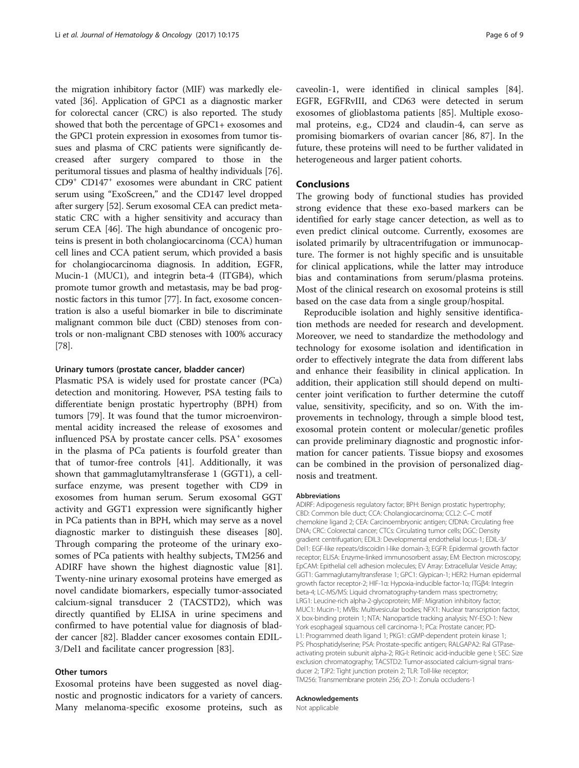the migration inhibitory factor (MIF) was markedly elevated [\[36\]](#page-7-0). Application of GPC1 as a diagnostic marker for colorectal cancer (CRC) is also reported. The study showed that both the percentage of GPC1+ exosomes and the GPC1 protein expression in exosomes from tumor tissues and plasma of CRC patients were significantly decreased after surgery compared to those in the peritumoral tissues and plasma of healthy individuals [[76](#page-7-0)]. CD9+ CD147+ exosomes were abundant in CRC patient serum using "ExoScreen," and the CD147 level dropped after surgery [\[52\]](#page-7-0). Serum exosomal CEA can predict metastatic CRC with a higher sensitivity and accuracy than serum CEA [\[46\]](#page-7-0). The high abundance of oncogenic proteins is present in both cholangiocarcinoma (CCA) human cell lines and CCA patient serum, which provided a basis for cholangiocarcinoma diagnosis. In addition, EGFR, Mucin-1 (MUC1), and integrin beta-4 (ITGB4), which promote tumor growth and metastasis, may be bad prognostic factors in this tumor [[77](#page-7-0)]. In fact, exosome concentration is also a useful biomarker in bile to discriminate malignant common bile duct (CBD) stenoses from controls or non-malignant CBD stenoses with 100% accuracy [[78](#page-8-0)].

### Urinary tumors (prostate cancer, bladder cancer)

Plasmatic PSA is widely used for prostate cancer (PCa) detection and monitoring. However, PSA testing fails to differentiate benign prostatic hypertrophy (BPH) from tumors [[79](#page-8-0)]. It was found that the tumor microenvironmental acidity increased the release of exosomes and influenced PSA by prostate cancer cells. PSA<sup>+</sup> exosomes in the plasma of PCa patients is fourfold greater than that of tumor-free controls [[41\]](#page-7-0). Additionally, it was shown that gammaglutamyltransferase 1 (GGT1), a cellsurface enzyme, was present together with CD9 in exosomes from human serum. Serum exosomal GGT activity and GGT1 expression were significantly higher in PCa patients than in BPH, which may serve as a novel diagnostic marker to distinguish these diseases [\[80](#page-8-0)]. Through comparing the proteome of the urinary exosomes of PCa patients with healthy subjects, TM256 and ADIRF have shown the highest diagnostic value [\[81](#page-8-0)]. Twenty-nine urinary exosomal proteins have emerged as novel candidate biomarkers, especially tumor-associated calcium-signal transducer 2 (TACSTD2), which was directly quantified by ELISA in urine specimens and confirmed to have potential value for diagnosis of bladder cancer [\[82](#page-8-0)]. Bladder cancer exosomes contain EDIL-3/Del1 and facilitate cancer progression [[83\]](#page-8-0).

## Other tumors

Exosomal proteins have been suggested as novel diagnostic and prognostic indicators for a variety of cancers. Many melanoma-specific exosome proteins, such as caveolin-1, were identified in clinical samples [\[84](#page-8-0)]. EGFR, EGFRvIII, and CD63 were detected in serum exosomes of glioblastoma patients [\[85](#page-8-0)]. Multiple exosomal proteins, e.g., CD24 and claudin-4, can serve as promising biomarkers of ovarian cancer [[86](#page-8-0), [87](#page-8-0)]. In the future, these proteins will need to be further validated in heterogeneous and larger patient cohorts.

## Conclusions

The growing body of functional studies has provided strong evidence that these exo-based markers can be identified for early stage cancer detection, as well as to even predict clinical outcome. Currently, exosomes are isolated primarily by ultracentrifugation or immunocapture. The former is not highly specific and is unsuitable for clinical applications, while the latter may introduce bias and contaminations from serum/plasma proteins. Most of the clinical research on exosomal proteins is still based on the case data from a single group/hospital.

Reproducible isolation and highly sensitive identification methods are needed for research and development. Moreover, we need to standardize the methodology and technology for exosome isolation and identification in order to effectively integrate the data from different labs and enhance their feasibility in clinical application. In addition, their application still should depend on multicenter joint verification to further determine the cutoff value, sensitivity, specificity, and so on. With the improvements in technology, through a simple blood test, exosomal protein content or molecular/genetic profiles can provide preliminary diagnostic and prognostic information for cancer patients. Tissue biopsy and exosomes can be combined in the provision of personalized diagnosis and treatment.

#### Abbreviations

ADIRF: Adipogenesis regulatory factor; BPH: Benign prostatic hypertrophy; CBD: Common bile duct; CCA: Cholangiocarcinoma; CCL2: C–C motif chemokine ligand 2; CEA: Carcinoembryonic antigen; CfDNA: Circulating free DNA; CRC: Colorectal cancer; CTCs: Circulating tumor cells; DGC: Density gradient centrifugation; EDIL3: Developmental endothelial locus-1; EDIL-3/ Del1: EGF-like repeats/discoidin I-like domain-3; EGFR: Epidermal growth factor receptor; ELISA: Enzyme-linked immunosorbent assay; EM: Electron microscopy; EpCAM: Epithelial cell adhesion molecules; EV Array: Extracellular Vesicle Array; GGT1: Gammaglutamyltransferase 1; GPC1: Glypican-1; HER2: Human epidermal growth factor receptor-2; HIF-1α: Hypoxia-inducible factor-1α; ITGβ4: Integrin beta-4; LC-MS/MS: Liquid chromatography-tandem mass spectrometry; LRG1: Leucine-rich alpha-2-glycoprotein; MIF: Migration inhibitory factor; MUC1: Mucin-1; MVBs: Multivesicular bodies; NFX1: Nuclear transcription factor, X box-binding protein 1; NTA: Nanoparticle tracking analysis; NY-ESO-1: New York esophageal squamous cell carcinoma-1; PCa: Prostate cancer; PD-L1: Programmed death ligand 1; PKG1: cGMP-dependent protein kinase 1; PS: Phosphatidylserine; PSA: Prostate-specific antigen; RALGAPA2: Ral GTPaseactivating protein subunit alpha-2; RIG-I: Retinoic acid-inducible gene I; SEC: Size exclusion chromatography; TACSTD2: Tumor-associated calcium-signal transducer 2; TJP2: Tight junction protein 2; TLR: Toll-like receptor; TM256: Transmembrane protein 256; ZO-1: Zonula occludens-1

#### Acknowledgements

Not applicable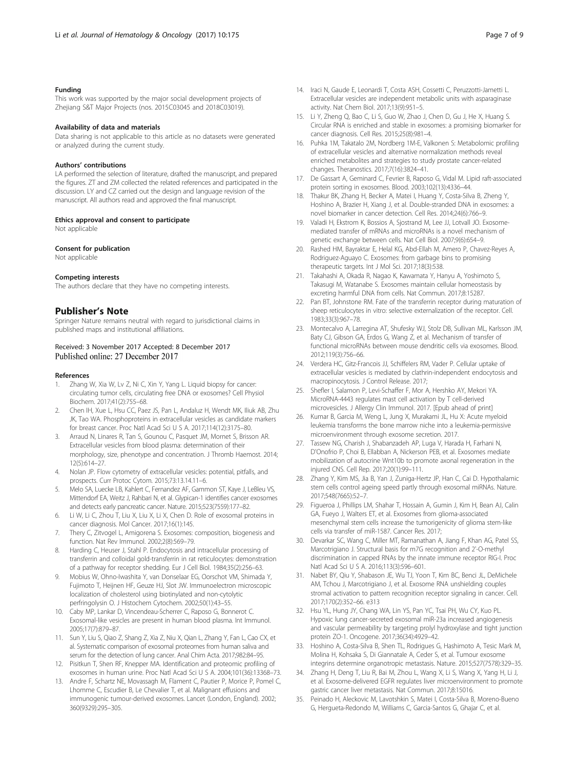#### <span id="page-6-0"></span>Funding

This work was supported by the major social development projects of Zhejiang S&T Major Projects (nos. 2015C03045 and 2018C03019).

#### Availability of data and materials

Data sharing is not applicable to this article as no datasets were generated or analyzed during the current study.

#### Authors' contributions

LA performed the selection of literature, drafted the manuscript, and prepared the figures. ZT and ZM collected the related references and participated in the discussion. LY and CZ carried out the design and language revision of the manuscript. All authors read and approved the final manuscript.

#### Ethics approval and consent to participate

Not applicable

#### Consent for publication

Not applicable

#### Competing interests

The authors declare that they have no competing interests.

#### Publisher's Note

Springer Nature remains neutral with regard to jurisdictional claims in published maps and institutional affiliations.

#### Received: 3 November 2017 Accepted: 8 December 2017 Published online: 27 December 2017

#### References

- 1. Zhang W, Xia W, Lv Z, Ni C, Xin Y, Yang L. Liquid biopsy for cancer: circulating tumor cells, circulating free DNA or exosomes? Cell Physiol Biochem. 2017;41(2):755–68.
- 2. Chen IH, Xue L, Hsu CC, Paez JS, Pan L, Andaluz H, Wendt MK, Iliuk AB, Zhu JK, Tao WA. Phosphoproteins in extracellular vesicles as candidate markers for breast cancer. Proc Natl Acad Sci U S A. 2017;114(12):3175–80.
- Arraud N, Linares R, Tan S, Gounou C, Pasquet JM, Mornet S, Brisson AR. Extracellular vesicles from blood plasma: determination of their morphology, size, phenotype and concentration. J Thromb Haemost. 2014; 12(5):614–27.
- 4. Nolan JP. Flow cytometry of extracellular vesicles: potential, pitfalls, and prospects. Curr Protoc Cytom. 2015;73:13.14.11–6.
- Melo SA, Luecke LB, Kahlert C, Fernandez AF, Gammon ST, Kaye J, LeBleu VS, Mittendorf EA, Weitz J, Rahbari N, et al. Glypican-1 identifies cancer exosomes and detects early pancreatic cancer. Nature. 2015;523(7559):177–82.
- 6. Li W, Li C, Zhou T, Liu X, Liu X, Li X, Chen D. Role of exosomal proteins in cancer diagnosis. Mol Cancer. 2017;16(1):145.
- 7. Thery C, Zitvogel L, Amigorena S. Exosomes: composition, biogenesis and function. Nat Rev Immunol. 2002;2(8):569–79.
- 8. Harding C, Heuser J, Stahl P. Endocytosis and intracellular processing of transferrin and colloidal gold-transferrin in rat reticulocytes: demonstration of a pathway for receptor shedding. Eur J Cell Biol. 1984;35(2):256–63.
- 9. Mobius W, Ohno-Iwashita Y, van Donselaar EG, Oorschot VM, Shimada Y, Fujimoto T, Heijnen HF, Geuze HJ, Slot JW. Immunoelectron microscopic localization of cholesterol using biotinylated and non-cytolytic perfringolysin O. J Histochem Cytochem. 2002;50(1):43–55.
- 10. Caby MP, Lankar D, Vincendeau-Scherrer C, Raposo G, Bonnerot C. Exosomal-like vesicles are present in human blood plasma. Int Immunol. 2005;17(7):879–87.
- 11. Sun Y, Liu S, Qiao Z, Shang Z, Xia Z, Niu X, Qian L, Zhang Y, Fan L, Cao CX, et al. Systematic comparison of exosomal proteomes from human saliva and serum for the detection of lung cancer. Anal Chim Acta. 2017;982:84–95.
- 12. Pisitkun T, Shen RF, Knepper MA. Identification and proteomic profiling of exosomes in human urine. Proc Natl Acad Sci U S A. 2004;101(36):13368–73.
- 13. Andre F, Schartz NE, Movassagh M, Flament C, Pautier P, Morice P, Pomel C, Lhomme C, Escudier B, Le Chevalier T, et al. Malignant effusions and immunogenic tumour-derived exosomes. Lancet (London, England). 2002; 360(9329):295–305.
- 14. Iraci N, Gaude E, Leonardi T, Costa ASH, Cossetti C, Peruzzotti-Jametti L. Extracellular vesicles are independent metabolic units with asparaginase activity. Nat Chem Biol. 2017;13(9):951–5.
- 15. Li Y, Zheng Q, Bao C, Li S, Guo W, Zhao J, Chen D, Gu J, He X, Huang S. Circular RNA is enriched and stable in exosomes: a promising biomarker for cancer diagnosis. Cell Res. 2015;25(8):981–4.
- 16. Puhka 1M, Takatalo 2M, Nordberg 1M-E, Valkonen S: Metabolomic profiling of extracellular vesicles and alternative normalization methods reveal enriched metabolites and strategies to study prostate cancer-related changes. Theranostics. 2017;7(16):3824–41.
- 17. De Gassart A, Geminard C, Fevrier B, Raposo G, Vidal M. Lipid raft-associated protein sorting in exosomes. Blood. 2003;102(13):4336–44.
- 18. Thakur BK, Zhang H, Becker A, Matei I, Huang Y, Costa-Silva B, Zheng Y, Hoshino A, Brazier H, Xiang J, et al. Double-stranded DNA in exosomes: a novel biomarker in cancer detection. Cell Res. 2014;24(6):766–9.
- 19. Valadi H, Ekstrom K, Bossios A, Sjostrand M, Lee JJ, Lotvall JO. Exosomemediated transfer of mRNAs and microRNAs is a novel mechanism of genetic exchange between cells. Nat Cell Biol. 2007;9(6):654–9.
- 20. Rashed HM, Bayraktar E, Helal KG, Abd-Ellah M, Amero P, Chavez-Reyes A, Rodriguez-Aguayo C. Exosomes: from garbage bins to promising therapeutic targets. Int J Mol Sci. 2017;18(3):538.
- 21. Takahashi A, Okada R, Nagao K, Kawamata Y, Hanyu A, Yoshimoto S, Takasugi M, Watanabe S. Exosomes maintain cellular homeostasis by excreting harmful DNA from cells. Nat Commun. 2017;8:15287.
- 22. Pan BT, Johnstone RM. Fate of the transferrin receptor during maturation of sheep reticulocytes in vitro: selective externalization of the receptor. Cell. 1983;33(3):967–78.
- 23. Montecalvo A, Larregina AT, Shufesky WJ, Stolz DB, Sullivan ML, Karlsson JM, Baty CJ, Gibson GA, Erdos G, Wang Z, et al. Mechanism of transfer of functional microRNAs between mouse dendritic cells via exosomes. Blood. 2012;119(3):756–66.
- 24. Verdera HC, Gitz-Francois JJ, Schiffelers RM, Vader P. Cellular uptake of extracellular vesicles is mediated by clathrin-independent endocytosis and macropinocytosis. J Control Release. 2017;
- 25. Shefler I, Salamon P, Levi-Schaffer F, Mor A, Hershko AY, Mekori YA. MicroRNA-4443 regulates mast cell activation by T cell-derived microvesicles. J Allergy Clin Immunol. 2017. [Epub ahead of print]
- 26. Kumar B, Garcia M, Weng L, Jung X, Murakami JL, Hu X: Acute myeloid leukemia transforms the bone marrow niche into a leukemia-permissive microenvironment through exosome secretion. 2017.
- 27. Tassew NG, Charish J, Shabanzadeh AP, Luga V, Harada H, Farhani N, D'Onofrio P, Choi B, Ellabban A, Nickerson PEB, et al. Exosomes mediate mobilization of autocrine Wnt10b to promote axonal regeneration in the injured CNS. Cell Rep. 2017;20(1):99–111.
- 28. Zhang Y, Kim MS, Jia B, Yan J, Zuniga-Hertz JP, Han C, Cai D. Hypothalamic stem cells control ageing speed partly through exosomal miRNAs. Nature. 2017;548(7665):52–7.
- 29. Figueroa J, Phillips LM, Shahar T, Hossain A, Gumin J, Kim H, Bean AJ, Calin GA, Fueyo J, Walters ET, et al. Exosomes from glioma-associated mesenchymal stem cells increase the tumorigenicity of glioma stem-like cells via transfer of miR-1587. Cancer Res. 2017;
- 30. Devarkar SC, Wang C, Miller MT, Ramanathan A, Jiang F, Khan AG, Patel SS, Marcotrigiano J. Structural basis for m7G recognition and 2'-O-methyl discrimination in capped RNAs by the innate immune receptor RIG-I. Proc Natl Acad Sci U S A. 2016;113(3):596–601.
- 31. Nabet BY, Qiu Y, Shabason JE, Wu TJ, Yoon T, Kim BC, Benci JL, DeMichele AM, Tchou J, Marcotrigiano J, et al. Exosome RNA unshielding couples stromal activation to pattern recognition receptor signaling in cancer. Cell. 2017;170(2):352–66. e313
- 32. Hsu YL, Hung JY, Chang WA, Lin YS, Pan YC, Tsai PH, Wu CY, Kuo PL. Hypoxic lung cancer-secreted exosomal miR-23a increased angiogenesis and vascular permeability by targeting prolyl hydroxylase and tight junction protein ZO-1. Oncogene. 2017;36(34):4929–42.
- 33. Hoshino A, Costa-Silva B, Shen TL, Rodrigues G, Hashimoto A, Tesic Mark M, Molina H, Kohsaka S, Di Giannatale A, Ceder S, et al. Tumour exosome integrins determine organotropic metastasis. Nature. 2015;527(7578):329–35.
- 34. Zhang H, Deng T, Liu R, Bai M, Zhou L, Wang X, Li S, Wang X, Yang H, Li J, et al. Exosome-delivered EGFR regulates liver microenvironment to promote gastric cancer liver metastasis. Nat Commun. 2017;8:15016.
- 35. Peinado H, Aleckovic M, Lavotshkin S, Matei I, Costa-Silva B, Moreno-Bueno G, Hergueta-Redondo M, Williams C, Garcia-Santos G, Ghajar C, et al.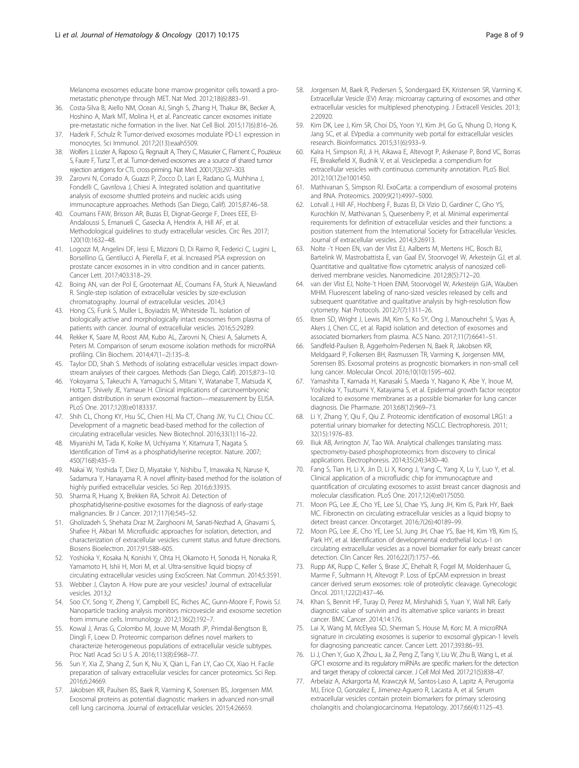<span id="page-7-0"></span>Melanoma exosomes educate bone marrow progenitor cells toward a prometastatic phenotype through MET. Nat Med. 2012;18(6):883–91.

- 36. Costa-Silva B, Aiello NM, Ocean AJ, Singh S, Zhang H, Thakur BK, Becker A, Hoshino A, Mark MT, Molina H, et al. Pancreatic cancer exosomes initiate pre-metastatic niche formation in the liver. Nat Cell Biol. 2015;17(6):816–26.
- 37. Haderk F, Schulz R: Tumor-derived exosomes modulate PD-L1 expression in monocytes. Sci Immunol. 2017;2(13):eaah5509.
- 38. Wolfers J, Lozier A, Raposo G, Regnault A, Thery C, Masurier C, Flament C, Pouzieux S, Faure F, Tursz T, et al. Tumor-derived exosomes are a source of shared tumor rejection antigens for CTL cross-priming. Nat Med. 2001;7(3):297–303.
- 39. Zarovni N, Corrado A, Guazzi P, Zocco D, Lari E, Radano G, Muhhina J, Fondelli C, Gavrilova J, Chiesi A. Integrated isolation and quantitative analysis of exosome shuttled proteins and nucleic acids using immunocapture approaches. Methods (San Diego, Calif). 2015;87:46–58.
- 40. Coumans FAW, Brisson AR, Buzas EI, Dignat-George F, Drees EEE, El-Andaloussi S, Emanueli C, Gasecka A, Hendrix A, Hill AF, et al. Methodological guidelines to study extracellular vesicles. Circ Res. 2017; 120(10):1632–48.
- 41. Logozzi M, Angelini DF, Iessi E, Mizzoni D, Di Raimo R, Federici C, Lugini L, Borsellino G, Gentilucci A, Pierella F, et al. Increased PSA expression on prostate cancer exosomes in in vitro condition and in cancer patients. Cancer Lett. 2017;403:318–29.
- 42. Boing AN, van der Pol E, Grootemaat AE, Coumans FA, Sturk A, Nieuwland R. Single-step isolation of extracellular vesicles by size-exclusion chromatography. Journal of extracellular vesicles. 2014;3
- 43. Hong CS, Funk S, Muller L, Boyiadzis M, Whiteside TL. Isolation of biologically active and morphologically intact exosomes from plasma of patients with cancer. Journal of extracellular vesicles. 2016;5:29289.
- 44. Rekker K, Saare M, Roost AM, Kubo AL, Zarovni N, Chiesi A, Salumets A, Peters M. Comparison of serum exosome isolation methods for microRNA profiling. Clin Biochem. 2014;47(1–2):135–8.
- 45. Taylor DD, Shah S. Methods of isolating extracellular vesicles impact downstream analyses of their cargoes. Methods (San Diego, Calif). 2015;87:3–10.
- 46. Yokoyama S, Takeuchi A, Yamaguchi S, Mitani Y, Watanabe T, Matsuda K, Hotta T, Shively JE, Yamaue H. Clinical implications of carcinoembryonic antigen distribution in serum exosomal fraction––measurement by ELISA. PLoS One. 2017;12(8):e0183337.
- 47. Shih CL, Chong KY, Hsu SC, Chien HJ, Ma CT, Chang JW, Yu CJ, Chiou CC. Development of a magnetic bead-based method for the collection of circulating extracellular vesicles. New Biotechnol. 2016;33(1):116–22.
- 48. Miyanishi M, Tada K, Koike M, Uchiyama Y, Kitamura T, Nagata S. Identification of Tim4 as a phosphatidylserine receptor. Nature. 2007; 450(7168):435–9.
- 49. Nakai W, Yoshida T, Diez D, Miyatake Y, Nishibu T, Imawaka N, Naruse K, Sadamura Y, Hanayama R. A novel affinity-based method for the isolation of highly purified extracellular vesicles. Sci Rep. 2016;6:33935.
- 50. Sharma R, Huang X, Brekken RA, Schroit AJ. Detection of phosphatidylserine-positive exosomes for the diagnosis of early-stage malignancies. Br J Cancer. 2017;117(4):545–52.
- 51. Gholizadeh S, Shehata Draz M, Zarghooni M, Sanati-Nezhad A, Ghavami S, Shafiee H, Akbari M. Microfluidic approaches for isolation, detection, and characterization of extracellular vesicles: current status and future directions. Biosens Bioelectron. 2017;91:588–605.
- 52. Yoshioka Y, Kosaka N, Konishi Y, Ohta H, Okamoto H, Sonoda H, Nonaka R, Yamamoto H, Ishii H, Mori M, et al. Ultra-sensitive liquid biopsy of circulating extracellular vesicles using ExoScreen. Nat Commun. 2014;5:3591.
- 53. Webber J, Clayton A. How pure are your vesicles? Journal of extracellular vesicles. 2013;2
- 54. Soo CY, Song Y, Zheng Y, Campbell EC, Riches AC, Gunn-Moore F, Powis SJ. Nanoparticle tracking analysis monitors microvesicle and exosome secretion from immune cells. Immunology. 2012;136(2):192–7.
- 55. Kowal J, Arras G, Colombo M, Jouve M, Morath JP, Primdal-Bengtson B, Dingli F, Loew D. Proteomic comparison defines novel markers to characterize heterogeneous populations of extracellular vesicle subtypes. Proc Natl Acad Sci U S A. 2016;113(8):E968–77.
- 56. Sun Y, Xia Z, Shang Z, Sun K, Niu X, Qian L, Fan LY, Cao CX, Xiao H. Facile preparation of salivary extracellular vesicles for cancer proteomics. Sci Rep. 2016;6:24669.
- 57. Jakobsen KR, Paulsen BS, Baek R, Varming K, Sorensen BS, Jorgensen MM. Exosomal proteins as potential diagnostic markers in advanced non-small cell lung carcinoma. Journal of extracellular vesicles. 2015;4:26659.
- 58. Jorgensen M, Baek R, Pedersen S, Sondergaard EK, Kristensen SR, Varming K. Extracellular Vesicle (EV) Array: microarray capturing of exosomes and other extracellular vesicles for multiplexed phenotyping. J Extracell Vesicles. 2013; 2:20920.
- 59. Kim DK, Lee J, Kim SR, Choi DS, Yoon YJ, Kim JH, Go G, Nhung D, Hong K, Jang SC, et al. EVpedia: a community web portal for extracellular vesicles research. Bioinformatics. 2015;31(6):933–9.
- 60. Kalra H, Simpson RJ, Ji H, Aikawa E, Altevogt P, Askenase P, Bond VC, Borras FE, Breakefield X, Budnik V, et al. Vesiclepedia: a compendium for extracellular vesicles with continuous community annotation. PLoS Biol. 2012;10(12):e1001450.
- 61. Mathivanan S, Simpson RJ. ExoCarta: a compendium of exosomal proteins and RNA. Proteomics. 2009;9(21):4997–5000.
- 62. Lotvall J, Hill AF, Hochberg F, Buzas EI, Di Vizio D, Gardiner C, Gho YS, Kurochkin IV, Mathivanan S, Quesenberry P, et al. Minimal experimental requirements for definition of extracellular vesicles and their functions: a position statement from the International Society for Extracellular Vesicles. Journal of extracellular vesicles. 2014;3:26913.
- 63. Nolte -'t Hoen EN, van der Vlist EJ, Aalberts M, Mertens HC, Bosch BJ, Bartelink W, Mastrobattista E, van Gaal EV, Stoorvogel W, Arkesteijn GJ, et al. Quantitative and qualitative flow cytometric analysis of nanosized cellderived membrane vesicles. Nanomedicine. 2012;8(5):712–20.
- 64. van der Vlist EJ, Nolte-'t Hoen ENM, Stoorvogel W, Arkesteijn GJA, Wauben MHM. Fluorescent labeling of nano-sized vesicles released by cells and subsequent quantitative and qualitative analysis by high-resolution flow cytometry. Nat Protocols. 2012;7(7):1311–26.
- 65. Ibsen SD, Wright J, Lewis JM, Kim S, Ko SY, Ong J, Manouchehri S, Vyas A, Akers J, Chen CC, et al. Rapid isolation and detection of exosomes and associated biomarkers from plasma. ACS Nano. 2017;11(7):6641–51.
- 66. Sandfeld-Paulsen B, Aggerholm-Pedersen N, Baek R, Jakobsen KR, Meldgaard P, Folkersen BH, Rasmussen TR, Varming K, Jorgensen MM, Sorensen BS. Exosomal proteins as prognostic biomarkers in non-small cell lung cancer. Molecular Oncol. 2016;10(10):1595–602.
- 67. Yamashita T, Kamada H, Kanasaki S, Maeda Y, Nagano K, Abe Y, Inoue M, Yoshioka Y, Tsutsumi Y, Katayama S, et al. Epidermal growth factor receptor localized to exosome membranes as a possible biomarker for lung cancer diagnosis. Die Pharmazie. 2013;68(12):969–73.
- 68. Li Y, Zhang Y, Qiu F, Qiu Z. Proteomic identification of exosomal LRG1: a potential urinary biomarker for detecting NSCLC. Electrophoresis. 2011; 32(15):1976–83.
- 69. Iliuk AB, Arrington JV, Tao WA. Analytical challenges translating mass spectrometry-based phosphoproteomics from discovery to clinical applications. Electrophoresis. 2014;35(24):3430–40.
- 70. Fang S, Tian H, Li X, Jin D, Li X, Kong J, Yang C, Yang X, Lu Y, Luo Y, et al. Clinical application of a microfluidic chip for immunocapture and quantification of circulating exosomes to assist breast cancer diagnosis and molecular classification. PLoS One. 2017;12(4):e0175050.
- 71. Moon PG, Lee JE, Cho YE, Lee SJ, Chae YS, Jung JH, Kim IS, Park HY, Baek MC. Fibronectin on circulating extracellular vesicles as a liquid biopsy to detect breast cancer. Oncotarget. 2016;7(26):40189–99.
- 72. Moon PG, Lee JE, Cho YE, Lee SJ, Jung JH, Chae YS, Bae HI, Kim YB, Kim IS, Park HY, et al. Identification of developmental endothelial locus-1 on circulating extracellular vesicles as a novel biomarker for early breast cancer detection. Clin Cancer Res. 2016;22(7):1757–66.
- 73. Rupp AK, Rupp C, Keller S, Brase JC, Ehehalt R, Fogel M, Moldenhauer G, Marme F, Sultmann H, Altevogt P. Loss of EpCAM expression in breast cancer derived serum exosomes: role of proteolytic cleavage. Gynecologic Oncol. 2011;122(2):437–46.
- 74. Khan S, Bennit HF, Turay D, Perez M, Mirshahidi S, Yuan Y, Wall NR. Early diagnostic value of survivin and its alternative splice variants in breast cancer. BMC Cancer. 2014;14:176.
- 75. Lai X, Wang M, McElyea SD, Sherman S, House M, Korc M. A microRNA signature in circulating exosomes is superior to exosomal glypican-1 levels for diagnosing pancreatic cancer. Cancer Lett. 2017;393:86–93.
- 76. Li J, Chen Y, Guo X, Zhou L, Jia Z, Peng Z, Tang Y, Liu W, Zhu B, Wang L, et al. GPC1 exosome and its regulatory miRNAs are specific markers for the detection and target therapy of colorectal cancer. J Cell Mol Med. 2017;21(5):838–47.
- 77. Arbelaiz A, Azkargorta M, Krawczyk M, Santos-Laso A, Lapitz A, Perugorria MJ, Erice O, Gonzalez E, Jimenez-Aguero R, Lacasta A, et al. Serum extracellular vesicles contain protein biomarkers for primary sclerosing cholangitis and cholangiocarcinoma. Hepatology. 2017;66(4):1125–43.